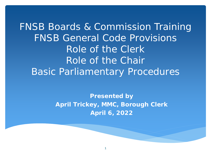FNSB Boards & Commission Training FNSB General Code Provisions Role of the Clerk Role of the Chair Basic Parliamentary Procedures

> *Presented by April Trickey, MMC, Borough Clerk April 6, 2022*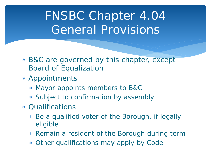- ∗ B&C are governed by this chapter, except Board of Equalization
- ∗ Appointments
	- ∗ Mayor appoints members to B&C
	- ∗ Subject to confirmation by assembly
- ∗ Qualifications
	- ∗ Be a qualified voter of the Borough, if legally eligible
	- ∗ Remain a resident of the Borough during term
	- ∗ Other qualifications may apply by Code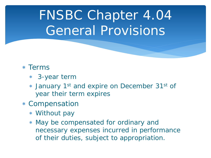#### ∗ Terms

- ∗ 3-year term
- ∗ January 1st and expire on December 31st of year their term expires
- ∗ Compensation
	- ∗ Without pay
	- ∗ May be compensated for ordinary and necessary expenses incurred in performance of their duties, subject to appropriation.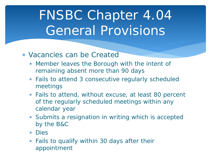#### ∗ Vacancies can be Created

- ∗ Member leaves the Borough with the intent of remaining absent more than 90 days
- ∗ Fails to attend 3 consecutive regularly scheduled meetings
- ∗ Fails to attend, without excuse, at least 80 percent of the regularly scheduled meetings within any calendar year
- ∗ Submits a resignation in writing which is accepted by the B&C
- ∗ Dies
- ∗ Fails to qualify within 30 days after their appointment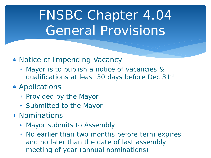#### ∗ Notice of Impending Vacancy

∗ Mayor is to publish a notice of vacancies & qualifications at least 30 days before Dec 31st

#### ∗ Applications

- ∗ Provided by the Mayor
- ∗ Submitted to the Mayor
- ∗ Nominations
	- ∗ Mayor submits to Assembly
	- ∗ No earlier than two months before term expires and no later than the date of last assembly meeting of year (annual nominations)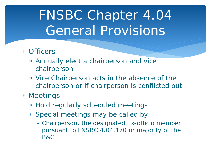- ∗ Officers
	- ∗ Annually elect a chairperson and vice chairperson
	- ∗ Vice Chairperson acts in the absence of the chairperson or if chairperson is conflicted out
- ∗ Meetings
	- ∗ Hold regularly scheduled meetings
	- ∗ Special meetings may be called by:
		- ∗ Chairperson, the designated Ex-officio member pursuant to FNSBC 4.04.170 or majority of the B&C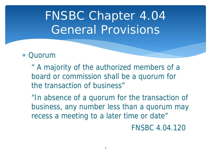#### ∗ Quorum

" A majority of the authorized members of a board or commission shall be a quorum for the transaction of business"

"In absence of a quorum for the transaction of business, any number less than a quorum may recess a meeting to a later time or date"

FNSBC 4.04.120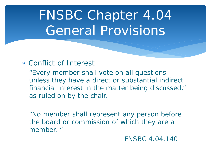#### ∗ Conflict of Interest

"Every member shall vote on all questions unless they have a direct or substantial indirect financial interest in the matter being discussed," as ruled on by the chair.

"No member shall represent any person before the board or commission of which they are a member. "

FNSBC 4.04.140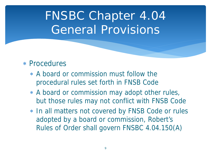#### ∗ Procedures

- ∗ A board or commission must follow the procedural rules set forth in FNSB Code
- ∗ A board or commission may adopt other rules, but those rules may not conflict with FNSB Code
- ∗ In all matters not covered by FNSB Code or rules adopted by a board or commission, Robert's Rules of Order shall govern FNSBC 4.04.150(A)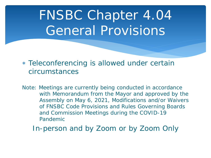∗ Teleconferencing is allowed under certain circumstances

*Note: Meetings are currently being conducted in accordance with Memorandum from the Mayor and approved by the Assembly on May 6, 2021, Modifications and/or Waivers of FNSBC Code Provisions and Rules Governing Boards and Commission Meetings during the COVID-19 Pandemic*

*In-person and by Zoom or by Zoom Only*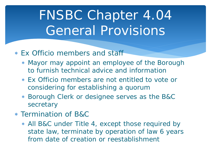- ∗ Ex Officio members and staff
	- ∗ Mayor may appoint an employee of the Borough to furnish technical advice and information
	- ∗ Ex Officio members are not entitled to vote or considering for establishing a quorum
	- ∗ Borough Clerk or designee serves as the B&C secretary
- ∗ Termination of B&C
	- ∗ All B&C under Title 4, except those required by state law, terminate by operation of law 6 years from date of creation or reestablishment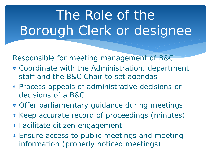Responsible for meeting management of B&C

- ∗ Coordinate with the Administration, department staff and the B&C Chair to set agendas
- ∗ Process appeals of administrative decisions or decisions of a B&C
- ∗ Offer parliamentary guidance during meetings
- ∗ Keep accurate record of proceedings (minutes)
- ∗ Facilitate citizen engagement
- ∗ Ensure access to public meetings and meeting information (properly noticed meetings)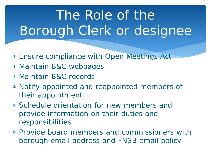- ∗ Ensure compliance with Open Meetings Act
- ∗ Maintain B&C webpages
- ∗ Maintain B&C records
- ∗ Notify appointed and reappointed members of their appointment
- ∗ Schedule orientation for new members and provide information on their duties and responsibilities
- ∗ Provide board members and commissioners with borough email address and FNSB email policy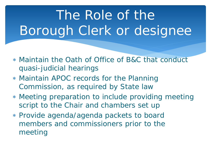- ∗ Maintain the Oath of Office of B&C that conduct quasi-judicial hearings
- ∗ Maintain APOC records for the Planning Commission, as required by State law
- ∗ Meeting preparation to include providing meeting script to the Chair and chambers set up
- ∗ Provide agenda/agenda packets to board members and commissioners prior to the meeting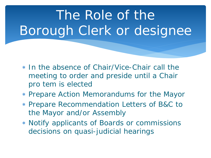- ∗ In the absence of Chair/Vice-Chair call the meeting to order and preside until a Chair pro tem is elected
- ∗ Prepare Action Memorandums for the Mayor
- ∗ Prepare Recommendation Letters of B&C to the Mayor and/or Assembly
- ∗ Notify applicants of Boards or commissions decisions on quasi-judicial hearings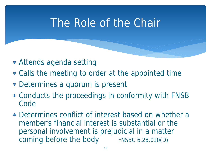### The Role of the Chair

- ∗ Attends agenda setting
- ∗ Calls the meeting to order at the appointed time
- ∗ Determines a quorum is present
- ∗ Conducts the proceedings in conformity with FNSB Code
- ∗ Determines conflict of interest based on whether a member's financial interest is substantial or the personal involvement is prejudicial in a matter coming before the body FNSBC 6.28.010(D)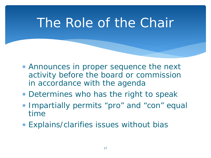# The Role of the Chair

- ∗ Announces in proper sequence the next activity before the board or commission in accordance with the agenda
- ∗ Determines who has the right to speak
- ∗ Impartially permits "pro" and "con" equal time
- ∗ Explains/clarifies issues without bias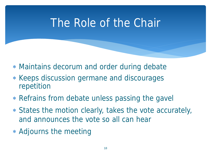### The Role of the Chair

- ∗ Maintains decorum and order during debate
- ∗ Keeps discussion germane and discourages repetition
- ∗ Refrains from debate unless passing the gavel
- ∗ States the motion clearly, takes the vote accurately, and announces the vote so all can hear
- ∗ Adjourns the meeting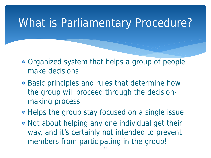### What is Parliamentary Procedure?

- ∗ Organized system that helps a group of people make decisions
- ∗ Basic principles and rules that determine how the group will proceed through the decisionmaking process
- ∗ Helps the group stay focused on a single issue
- ∗ Not about helping any one individual get their way, and it's certainly not intended to prevent members from participating in the group!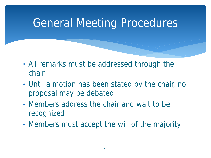### General Meeting Procedures

- ∗ All remarks must be addressed through the chair
- ∗ Until a motion has been stated by the chair, no proposal may be debated
- ∗ Members address the chair and wait to be recognized
- ∗ Members must accept the will of the majority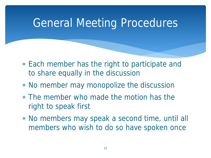#### General Meeting Procedures

- ∗ Each member has the right to participate and to share equally in the discussion
- ∗ No member may monopolize the discussion
- ∗ The member who made the motion has the right to speak first
- ∗ No members may speak a second time, until all members who wish to do so have spoken once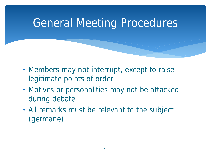### General Meeting Procedures

- ∗ Members may not interrupt, except to raise legitimate points of order
- ∗ Motives or personalities may not be attacked during debate
- ∗ All remarks must be relevant to the subject (germane)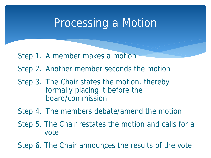#### Processing a Motion

- Step 1. A member makes a motion
- Step 2. Another member seconds the motion
- Step 3. The Chair states the motion, thereby formally placing it before the board/commission
- Step 4. The members debate/amend the motion
- Step 5. The Chair restates the motion and calls for a vote
- Step 6. The Chair announges the results of the vote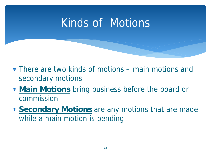### Kinds of Motions

- ∗ There are two kinds of motions main motions and secondary motions
- ∗ **Main Motions** bring business before the board or commission
- ∗ **Secondary Motions** are any motions that are made while a main motion is pending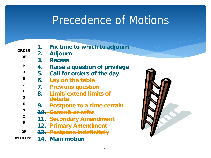### Precedence of Motions

| <b>ORDER</b><br><b>OF</b> | 1.<br>2.<br>3. | Fix time to which to adjourn<br><b>Adjourn</b><br><b>Recess</b> |
|---------------------------|----------------|-----------------------------------------------------------------|
| P                         | 4.             | <b>Raise a question of privilege</b>                            |
| R                         | 5.             | <b>Call for orders of the day</b>                               |
| E                         | $\mathbf 6$ .  | Lay on the table                                                |
| $\mathbf C$               | 7.             | <b>Previous question</b>                                        |
| E<br>D                    | 8.             | Limit/extend limits of<br>debate                                |
| E                         | 9.             | Postpone to a time certain                                      |
| N                         |                | <b>10. Commit or refer</b>                                      |
| $\mathbf C$               |                | 11. Secondary Amendment                                         |
| E                         |                | <b>12. Primary Amendment</b>                                    |
| <b>OF</b>                 |                | Postpone indefinitely                                           |
| <b>MOTIONS</b>            |                | 14. Main motion                                                 |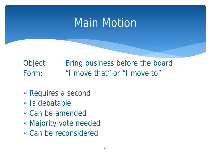#### Main Motion

#### Object: Bring business before the board Form: "I move that" or "I move to"

- ∗ Requires a second
- ∗ Is debatable
- ∗ Can be amended
- ∗ Majority vote needed
- ∗ Can be reconsidered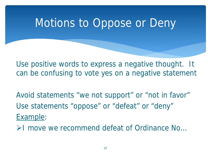## Motions to Oppose or Deny

Use positive words to express a negative thought. It can be confusing to vote yes on a negative statement

Avoid statements "we not support" or "not in favor" Use statements "oppose" or "defeat" or "deny" Example:

**E** move we recommend defeat of Ordinance No...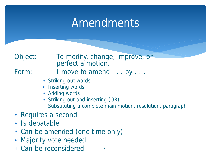#### Amendments

Object: To modify, change, improve, or perfect a motion.

Form: I move to amend . . . by . . .

- ∗ Striking out words
- ∗ Inserting words
- ∗ Adding words
- ∗ Striking out and inserting (OR) Substituting a complete main motion, resolution, paragraph
- ∗ Requires a second
- ∗ Is debatable
- ∗ Can be amended (one time only)
- ∗ Majority vote needed
- ∗ Can be reconsidered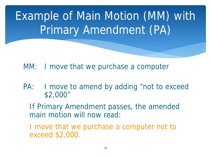Example of Main Motion (MM) with Primary Amendment (PA)

MM: I move that we purchase a computer

PA: I move to amend by adding "not to exceed \$2,000"

If Primary Amendment passes, the amended main motion will now read:

I move that we purchase a computer not to exceed \$2,000.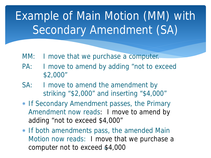# Example of Main Motion (MM) with Secondary Amendment (SA)

- MM: I move that we purchase a computer.
- PA: I move to amend by adding "not to exceed \$2,000"
- SA: I move to amend the amendment by striking "\$2,000" and inserting "\$4,000"
- ∗ If Secondary Amendment passes, the Primary Amendment now reads: I move to amend by adding "not to exceed \$4,000"
- 30 computer not to exceed \$4,000 ∗ If both amendments pass, the amended Main Motion now reads: I move that we purchase a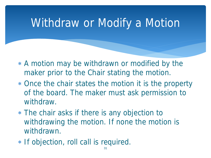### Withdraw or Modify a Motion

- ∗ A motion may be withdrawn or modified by the maker prior to the Chair stating the motion.
- ∗ Once the chair states the motion it is the property of the board. The maker must ask permission to withdraw.
- ∗ The chair asks if there is any objection to withdrawing the motion. If none the motion is withdrawn.
- ∗ If objection, roll call is required.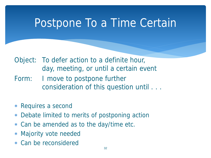### Postpone To a Time Certain

Object: To defer action to a definite hour, day, meeting, or until a certain event

- Form: I move to postpone further consideration of this question until . . .
- ∗ Requires a second
- ∗ Debate limited to merits of postponing action
- ∗ Can be amended as to the day/time etc.
- ∗ Majority vote needed
- ∗ Can be reconsidered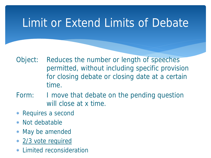### Limit or Extend Limits of Debate

- Object: Reduces the number or length of speeches permitted, without including specific provision for closing debate or closing date at a certain time.
- Form: I move that debate on the pending question will close at x time.
- ∗ Requires a second
- ∗ Not debatable
- ∗ May be amended
- ∗ 2/3 vote required
- Limited reconsideration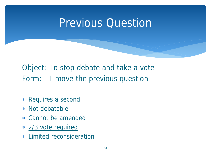#### Previous Question

Object: To stop debate and take a vote Form: I move the previous question

- ∗ Requires a second
- ∗ Not debatable
- ∗ Cannot be amended
- ∗ 2/3 vote required
- ∗ Limited reconsideration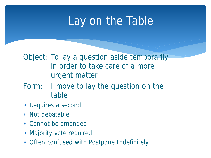## Lay on the Table

Object: To lay a question aside temporarily in order to take care of a more urgent matter

- Form: I move to lay the question on the table
- ∗ Requires a second
- ∗ Not debatable
- ∗ Cannot be amended
- ∗ Majority vote required
- ∗ Often confused with Postpone Indefinitely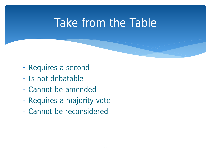#### Take from the Table

- ∗ Requires a second
- ∗ Is not debatable
- ∗ Cannot be amended
- ∗ Requires a majority vote
- ∗ Cannot be reconsidered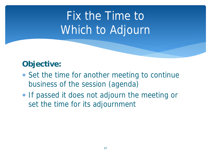# Fix the Time to Which to Adjourn

#### **Objective:**

- ∗ Set the time for another meeting to continue business of the session (agenda)
- ∗ If passed it does not adjourn the meeting or set the time for its adjournment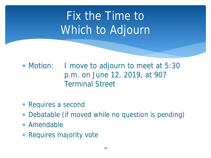# Fix the Time to Which to Adjourn

∗ Motion: I move to adjourn to meet at 5:30 p.m. on June 12, 2019, at 907 Terminal Street

- ∗ Requires a second
- ∗ Debatable (if moved while no question is pending)
- ∗ Amendable
- ∗ Requires majority vote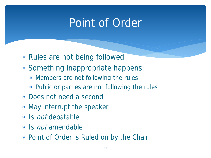#### Point of Order

- ∗ Rules are not being followed
- ∗ Something inappropriate happens:
	- ∗ Members are not following the rules
	- ∗ Public or parties are not following the rules
- ∗ Does not need a second
- ∗ May interrupt the speaker
- ∗ Is not debatable
- ∗ Is not amendable
- ∗ Point of Order is Ruled on by the Chair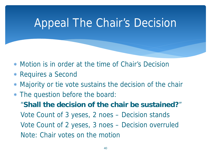#### Appeal The Chair's Decision

- ∗ Motion is in order at the time of Chair's Decision
- ∗ Requires a Second
- ∗ Majority or tie vote sustains the decision of the chair
- ∗ The question before the board:

"**Shall the decision of the chair be sustained?**" Vote Count of 3 yeses, 2 noes – Decision stands Vote Count of 2 yeses, 3 noes – Decision overruled Note: Chair votes on the motion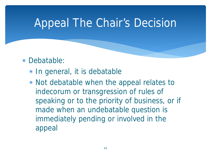#### Appeal The Chair's Decision

- ∗ Debatable:
	- ∗ In general, it is debatable
	- ∗ Not debatable when the appeal relates to indecorum or transgression of rules of speaking or to the priority of business, or if made when an undebatable question is immediately pending or involved in the appeal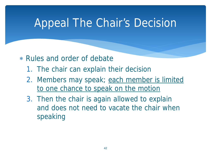#### Appeal The Chair's Decision

- ∗ Rules and order of debate
	- 1. The chair can explain their decision
	- 2. Members may speak; each member is limited to one chance to speak on the motion
	- 3. Then the chair is again allowed to explain and does not need to vacate the chair when speaking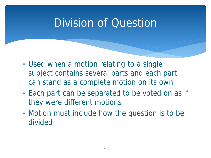### Division of Question

- ∗ Used when a motion relating to a single subject contains several parts and each part can stand as a complete motion on its own
- ∗ Each part can be separated to be voted on as if they were different motions
- ∗ Motion must include how the question is to be divided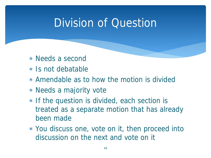### Division of Question

- ∗ Needs a second
- ∗ Is not debatable
- ∗ Amendable as to how the motion is divided
- ∗ Needs a majority vote
- ∗ If the question is divided, each section is treated as a separate motion that has already been made
- ∗ You discuss one, vote on it, then proceed into discussion on the next and vote on it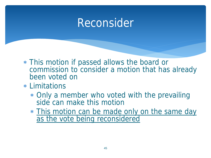#### Reconsider

- ∗ This motion if passed allows the board or commission to consider a motion that has already been voted on
- ∗ Limitations
	- ∗ Only a member who voted with the prevailing side can make this motion
	- ∗ This motion can be made only on the same day as the vote being reconsidered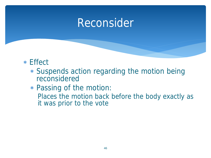#### Reconsider

- ∗ Effect
	- ∗ Suspends action regarding the motion being reconsidered
	- ∗ Passing of the motion: Places the motion back before the body exactly as it was prior to the vote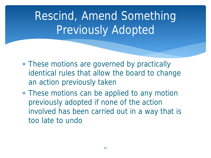# Rescind, Amend Something Previously Adopted

- ∗ These motions are governed by practically identical rules that allow the board to change an action previously taken
- ∗ These motions can be applied to any motion previously adopted if none of the action involved has been carried out in a way that is too late to undo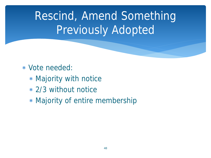# Rescind, Amend Something Previously Adopted

∗ Vote needed:

- ∗ Majority with notice
- ∗ 2/3 without notice
- ∗ Majority of entire membership